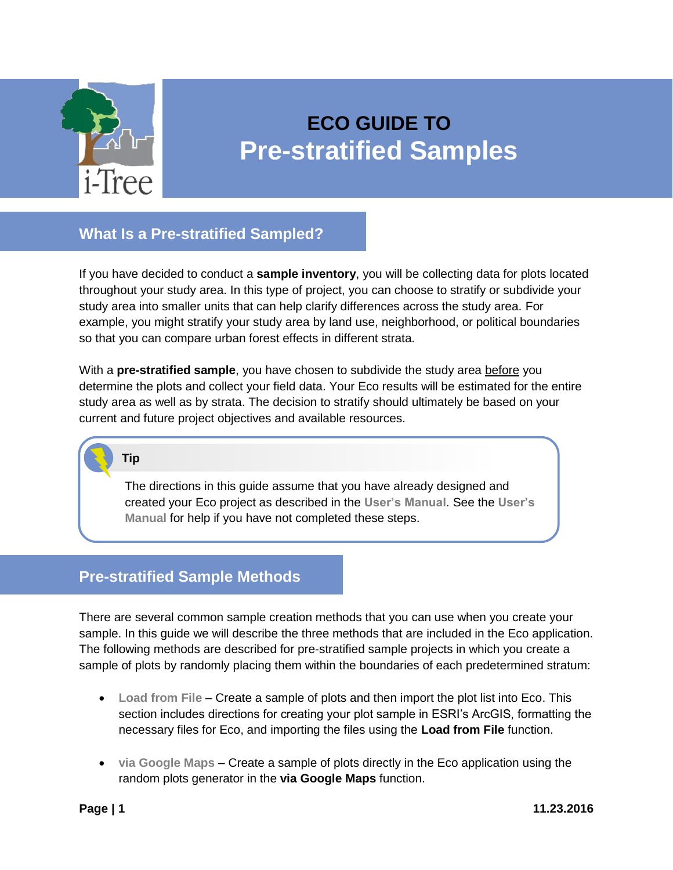

# **ECO GUIDE TO Pre-stratified Samples**

## **What Is a Pre-stratified Sampled?**

If you have decided to conduct a **sample inventory**, you will be collecting data for plots located throughout your study area. In this type of project, you can choose to stratify or subdivide your study area into smaller units that can help clarify differences across the study area. For example, you might stratify your study area by land use, neighborhood, or political boundaries so that you can compare urban forest effects in different strata.

With a **pre-stratified sample**, you have chosen to subdivide the study area before you determine the plots and collect your field data. Your Eco results will be estimated for the entire study area as well as by strata. The decision to stratify should ultimately be based on your current and future project objectives and available resources.

**Tip**

The directions in this guide assume that you have already designed and created your Eco project as described in the **[User's Manual](https://www.itreetools.org/resources/manuals/Ecov6_ManualsGuides/Ecov6_UsersManual.pdf)**. See the **[User's](https://www.itreetools.org/resources/manuals/Ecov6_ManualsGuides/Ecov6_UsersManual.pdf)  [Manual](https://www.itreetools.org/resources/manuals/Ecov6_ManualsGuides/Ecov6_UsersManual.pdf)** for help if you have not completed these steps.

## **Pre-stratified Sample Methods**

There are several common sample creation methods that you can use when you create your sample. In this guide we will describe the three methods that are included in the Eco application. The following methods are described for pre-stratified sample projects in which you create a sample of plots by randomly placing them within the boundaries of each predetermined stratum:

- **[Load from File](#page-1-0)** Create a sample of plots and then import the plot list into Eco. This section includes directions for creating your plot sample in ESRI's ArcGIS, formatting the necessary files for Eco, and importing the files using the **Load from File** function.
- **[via Google](#page-18-0) Maps** Create a sample of plots directly in the Eco application using the random plots generator in the **via Google Maps** function.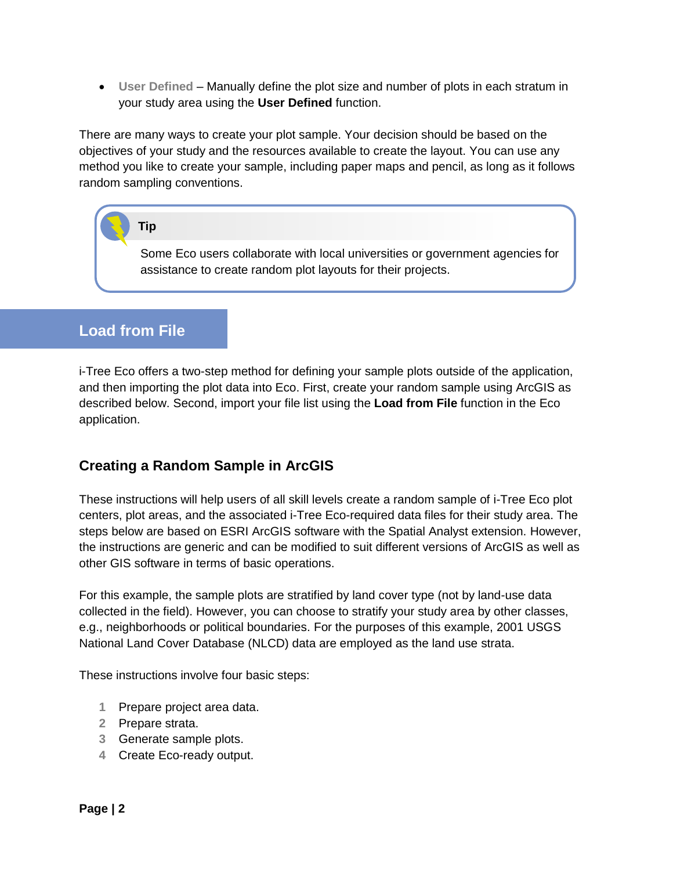**[User Defined](#page-19-0)** – Manually define the plot size and number of plots in each stratum in your study area using the **User Defined** function.

There are many ways to create your plot sample. Your decision should be based on the objectives of your study and the resources available to create the layout. You can use any method you like to create your sample, including paper maps and pencil, as long as it follows random sampling conventions.

## **Tip**

Some Eco users collaborate with local universities or government agencies for assistance to create random plot layouts for their projects.

# <span id="page-1-0"></span>**Load from File**

i-Tree Eco offers a two-step method for defining your sample plots outside of the application, and then importing the plot data into Eco. First, create your random sample using ArcGIS as described below. Second, import your file list using the **Load from File** function in the Eco application.

## **Creating a Random Sample in ArcGIS**

These instructions will help users of all skill levels create a random sample of i-Tree Eco plot centers, plot areas, and the associated i-Tree Eco-required data files for their study area. The steps below are based on ESRI ArcGIS software with the Spatial Analyst extension. However, the instructions are generic and can be modified to suit different versions of ArcGIS as well as other GIS software in terms of basic operations.

For this example, the sample plots are stratified by land cover type (not by land-use data collected in the field). However, you can choose to stratify your study area by other classes, e.g., neighborhoods or political boundaries. For the purposes of this example, 2001 USGS National Land Cover Database (NLCD) data are employed as the land use strata.

These instructions involve four basic steps:

- **1** Prepare project area data.
- **2** Prepare strata.
- **3** Generate sample plots.
- **4** Create Eco-ready output.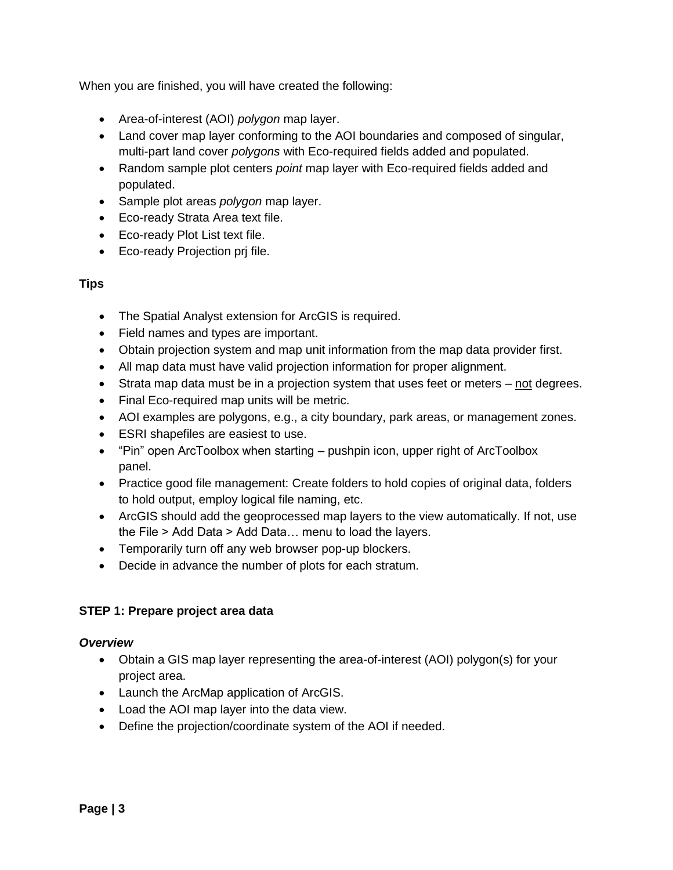When you are finished, you will have created the following:

- Area-of-interest (AOI) *polygon* map layer.
- Land cover map layer conforming to the AOI boundaries and composed of singular, multi-part land cover *polygons* with Eco-required fields added and populated.
- Random sample plot centers *point* map layer with Eco-required fields added and populated.
- Sample plot areas *polygon* map layer.
- Eco-ready Strata Area text file.
- Eco-ready Plot List text file.
- Eco-ready Projection pri file.

#### **Tips**

- The Spatial Analyst extension for ArcGIS is required.
- Field names and types are important.
- Obtain projection system and map unit information from the map data provider first.
- All map data must have valid projection information for proper alignment.
- Strata map data must be in a projection system that uses feet or meters not degrees.
- Final Eco-required map units will be metric.
- AOI examples are polygons, e.g., a city boundary, park areas, or management zones.
- ESRI shapefiles are easiest to use.
- "Pin" open ArcToolbox when starting pushpin icon, upper right of ArcToolbox panel.
- Practice good file management: Create folders to hold copies of original data, folders to hold output, employ logical file naming, etc.
- ArcGIS should add the geoprocessed map layers to the view automatically. If not, use the File > Add Data > Add Data… menu to load the layers.
- Temporarily turn off any web browser pop-up blockers.
- Decide in advance the number of plots for each stratum.

#### <span id="page-2-0"></span>**STEP 1: Prepare project area data**

#### *Overview*

- Obtain a GIS map layer representing the area-of-interest (AOI) polygon(s) for your project area.
- Launch the ArcMap application of ArcGIS.
- Load the AOI map layer into the data view.
- Define the projection/coordinate system of the AOI if needed.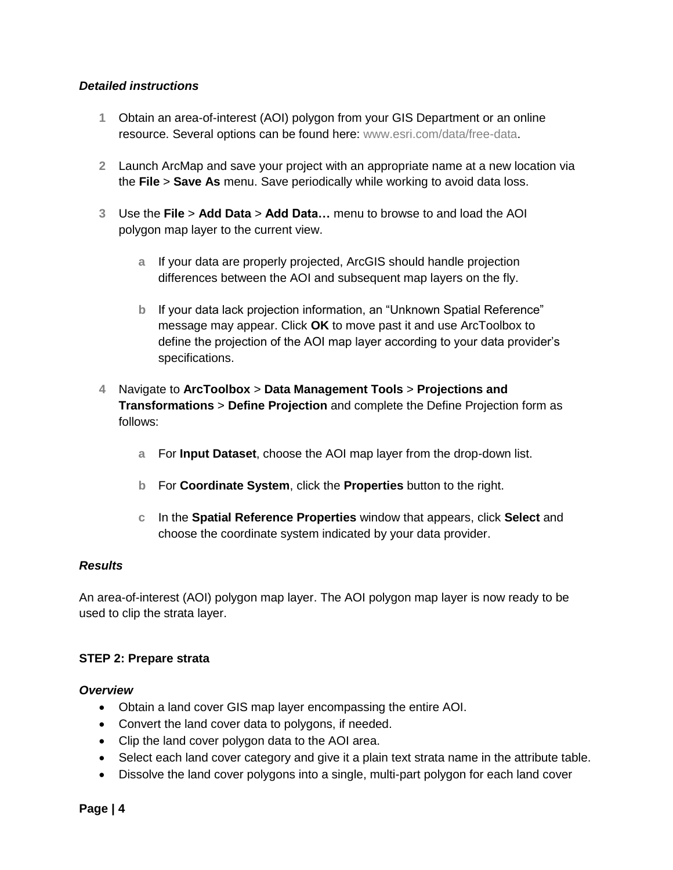#### *Detailed instructions*

- **1** Obtain an area-of-interest (AOI) polygon from your GIS Department or an online resource. Several options can be found here: [www.esri.com/data/free-data.](http://www.esri.com/data/free-data)
- **2** Launch ArcMap and save your project with an appropriate name at a new location via the **File** > **Save As** menu. Save periodically while working to avoid data loss.
- **3** Use the **File** > **Add Data** > **Add Data…** menu to browse to and load the AOI polygon map layer to the current view.
	- **a** If your data are properly projected, ArcGIS should handle projection differences between the AOI and subsequent map layers on the fly.
	- **b** If your data lack projection information, an "Unknown Spatial Reference" message may appear. Click **OK** to move past it and use ArcToolbox to define the projection of the AOI map layer according to your data provider's specifications.
- **4** Navigate to **ArcToolbox** > **Data Management Tools** > **Projections and Transformations** > **Define Projection** and complete the Define Projection form as follows:
	- **a** For **Input Dataset**, choose the AOI map layer from the drop-down list.
	- **b** For **Coordinate System**, click the **Properties** button to the right.
	- **c** In the **Spatial Reference Properties** window that appears, click **Select** and choose the coordinate system indicated by your data provider.

#### *Results*

An area-of-interest (AOI) polygon map layer. The AOI polygon map layer is now ready to be used to clip the strata layer.

#### **STEP 2: Prepare strata**

#### *Overview*

- Obtain a land cover GIS map layer encompassing the entire AOI.
- Convert the land cover data to polygons, if needed.
- Clip the land cover polygon data to the AOI area.
- Select each land cover category and give it a plain text strata name in the attribute table.
- Dissolve the land cover polygons into a single, multi-part polygon for each land cover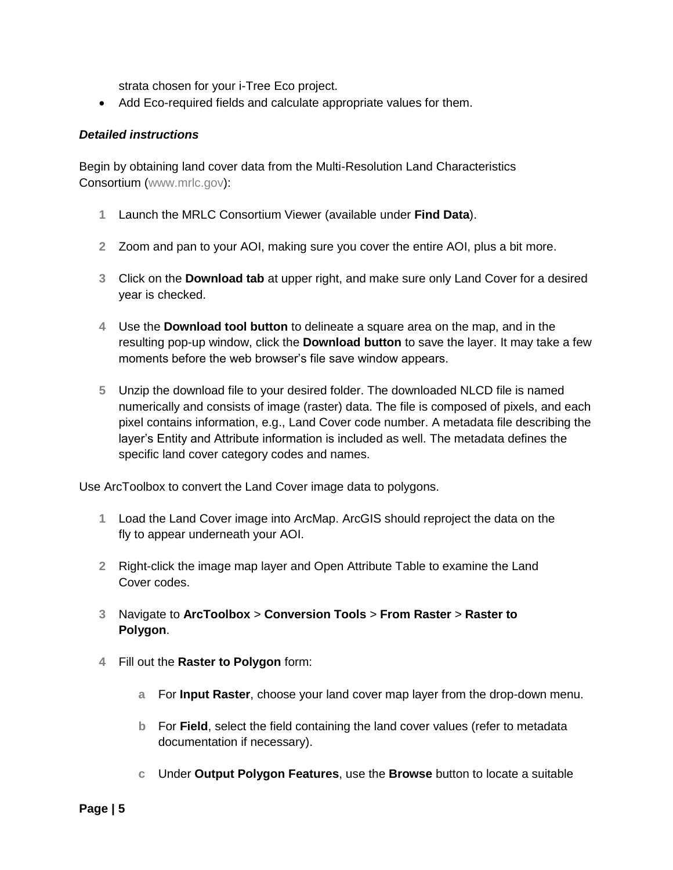strata chosen for your i-Tree Eco project.

Add Eco-required fields and calculate appropriate values for them.

#### *Detailed instructions*

Begin by obtaining land cover data from the Multi-Resolution Land Characteristics Consortium [\(www.mrlc.gov\)](http://www.mrlc.gov/):

- **1** Launch the MRLC Consortium Viewer (available under **Find Data**).
- **2** Zoom and pan to your AOI, making sure you cover the entire AOI, plus a bit more.
- **3** Click on the **Download tab** at upper right, and make sure only Land Cover for a desired year is checked.
- **4** Use the **Download tool button** to delineate a square area on the map, and in the resulting pop-up window, click the **Download button** to save the layer. It may take a few moments before the web browser's file save window appears.
- **5** Unzip the download file to your desired folder. The downloaded NLCD file is named numerically and consists of image (raster) data. The file is composed of pixels, and each pixel contains information, e.g., Land Cover code number. A metadata file describing the layer's Entity and Attribute information is included as well. The metadata defines the specific land cover category codes and names.

Use ArcToolbox to convert the Land Cover image data to polygons.

- **1** Load the Land Cover image into ArcMap. ArcGIS should reproject the data on the fly to appear underneath your AOI.
- **2** Right-click the image map layer and Open Attribute Table to examine the Land Cover codes.
- **3** Navigate to **ArcToolbox** > **Conversion Tools** > **From Raster** > **Raster to Polygon**.
- **4** Fill out the **Raster to Polygon** form:
	- **a** For **Input Raster**, choose your land cover map layer from the drop-down menu.
	- **b** For **Field**, select the field containing the land cover values (refer to metadata documentation if necessary).
	- **c** Under **Output Polygon Features**, use the **Browse** button to locate a suitable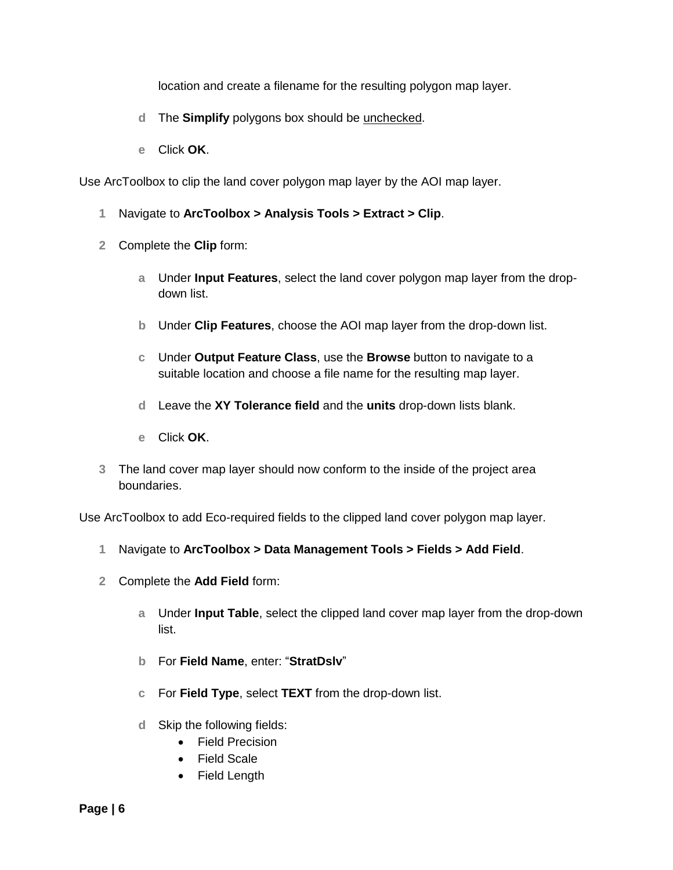location and create a filename for the resulting polygon map layer.

- **d** The **Simplify** polygons box should be unchecked.
- **e** Click **OK**.

Use ArcToolbox to clip the land cover polygon map layer by the AOI map layer.

- **1** Navigate to **ArcToolbox > Analysis Tools > Extract > Clip**.
- **2** Complete the **Clip** form:
	- **a** Under **Input Features**, select the land cover polygon map layer from the dropdown list.
	- **b** Under **Clip Features**, choose the AOI map layer from the drop-down list.
	- **c** Under **Output Feature Class**, use the **Browse** button to navigate to a suitable location and choose a file name for the resulting map layer.
	- **d** Leave the **XY Tolerance field** and the **units** drop-down lists blank.
	- **e** Click **OK**.
- **3** The land cover map layer should now conform to the inside of the project area boundaries.

Use ArcToolbox to add Eco-required fields to the clipped land cover polygon map layer.

- **1** Navigate to **ArcToolbox > Data Management Tools > Fields > Add Field**.
- **2** Complete the **Add Field** form:
	- **a** Under **Input Table**, select the clipped land cover map layer from the drop-down list.
	- **b** For **Field Name**, enter: "**StratDslv**"
	- **c** For **Field Type**, select **TEXT** from the drop-down list.
	- **d** Skip the following fields:
		- Field Precision
		- Field Scale
		- Field Length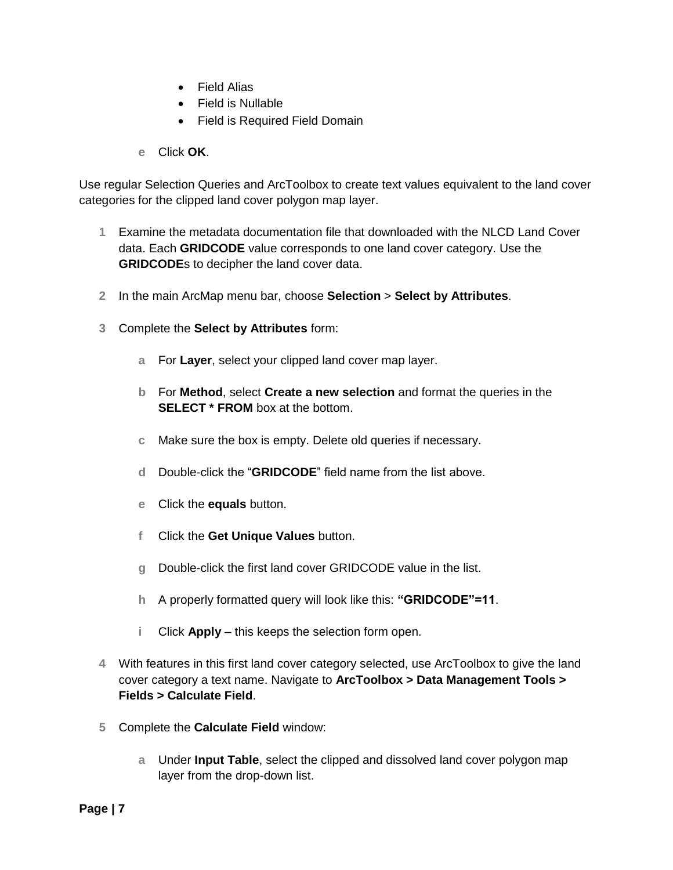- Field Alias
- Field is Nullable
- Field is Required Field Domain
- **e** Click **OK**.

Use regular Selection Queries and ArcToolbox to create text values equivalent to the land cover categories for the clipped land cover polygon map layer.

- **1** Examine the metadata documentation file that downloaded with the NLCD Land Cover data. Each **GRIDCODE** value corresponds to one land cover category. Use the **GRIDCODE**s to decipher the land cover data.
- **2** In the main ArcMap menu bar, choose **Selection** > **Select by Attributes**.
- **3** Complete the **Select by Attributes** form:
	- **a** For **Layer**, select your clipped land cover map layer.
	- **b** For **Method**, select **Create a new selection** and format the queries in the **SELECT \* FROM** box at the bottom.
	- **c** Make sure the box is empty. Delete old queries if necessary.
	- **d** Double-click the "**GRIDCODE**" field name from the list above.
	- **e** Click the **equals** button.
	- **f** Click the **Get Unique Values** button.
	- **g** Double-click the first land cover GRIDCODE value in the list.
	- **h** A properly formatted query will look like this: **"GRIDCODE"=11**.
	- **i** Click **Apply** this keeps the selection form open.
- **4** With features in this first land cover category selected, use ArcToolbox to give the land cover category a text name. Navigate to **ArcToolbox > Data Management Tools > Fields > Calculate Field**.
- **5** Complete the **Calculate Field** window:
	- **a** Under **Input Table**, select the clipped and dissolved land cover polygon map layer from the drop-down list.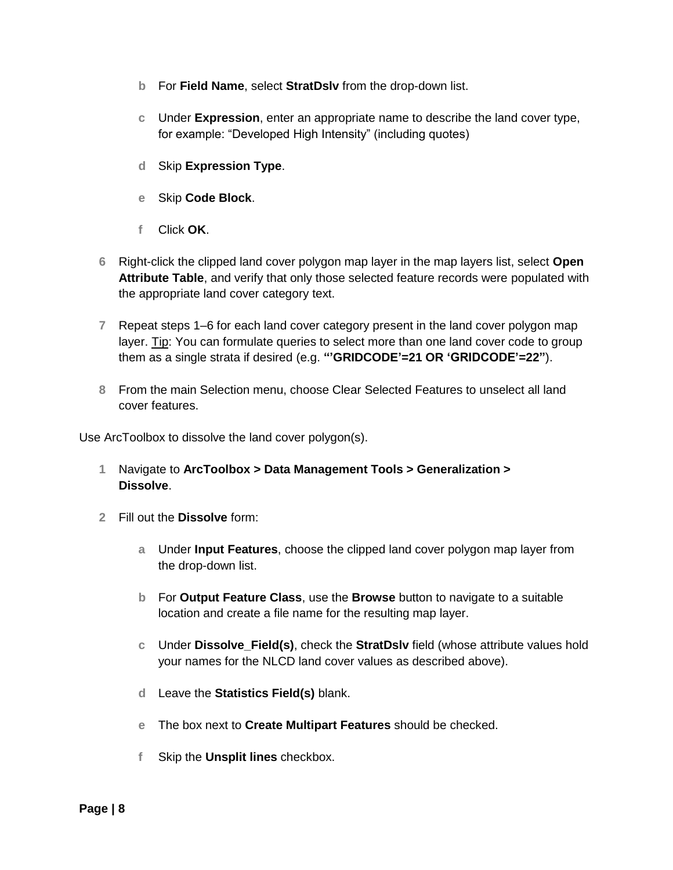- **b** For **Field Name**, select **StratDslv** from the drop-down list.
- **c** Under **Expression**, enter an appropriate name to describe the land cover type, for example: "Developed High Intensity" (including quotes)
- **d** Skip **Expression Type**.
- **e** Skip **Code Block**.
- **f** Click **OK**.
- **6** Right-click the clipped land cover polygon map layer in the map layers list, select **Open Attribute Table**, and verify that only those selected feature records were populated with the appropriate land cover category text.
- **7** Repeat steps 1–6 for each land cover category present in the land cover polygon map layer. Tip: You can formulate queries to select more than one land cover code to group them as a single strata if desired (e.g. **"'GRIDCODE'=21 OR 'GRIDCODE'=22"**).
- **8** From the main Selection menu, choose Clear Selected Features to unselect all land cover features.

Use ArcToolbox to dissolve the land cover polygon(s).

- **1** Navigate to **ArcToolbox > Data Management Tools > Generalization > Dissolve**.
- **2** Fill out the **Dissolve** form:
	- **a** Under **Input Features**, choose the clipped land cover polygon map layer from the drop-down list.
	- **b** For **Output Feature Class**, use the **Browse** button to navigate to a suitable location and create a file name for the resulting map layer.
	- **c** Under **Dissolve\_Field(s)**, check the **StratDslv** field (whose attribute values hold your names for the NLCD land cover values as described above).
	- **d** Leave the **Statistics Field(s)** blank.
	- **e** The box next to **Create Multipart Features** should be checked.
	- **f** Skip the **Unsplit lines** checkbox.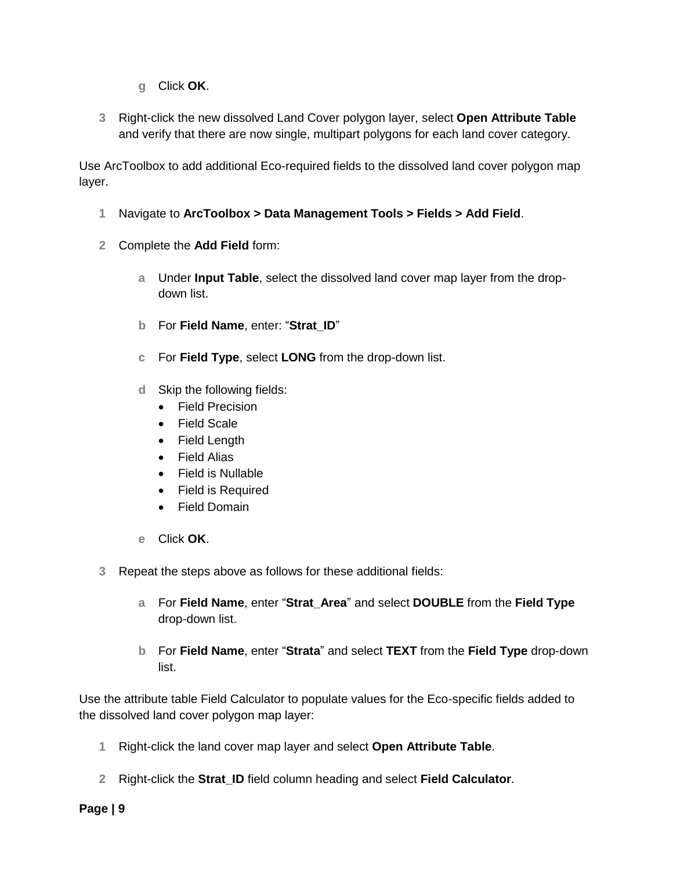- **g** Click **OK**.
- **3** Right-click the new dissolved Land Cover polygon layer, select **Open Attribute Table** and verify that there are now single, multipart polygons for each land cover category.

Use ArcToolbox to add additional Eco-required fields to the dissolved land cover polygon map layer.

- **1** Navigate to **ArcToolbox > Data Management Tools > Fields > Add Field**.
- **2** Complete the **Add Field** form:
	- **a** Under **Input Table**, select the dissolved land cover map layer from the dropdown list.
	- **b** For **Field Name**, enter: "**Strat\_ID**"
	- **c** For **Field Type**, select **LONG** from the drop-down list.
	- **d** Skip the following fields:
		- Field Precision
		- Field Scale
		- Field Length
		- Field Alias
		- Field is Nullable
		- Field is Required
		- Field Domain
	- **e** Click **OK**.
- **3** Repeat the steps above as follows for these additional fields:
	- **a** For **Field Name**, enter "**Strat\_Area**" and select **DOUBLE** from the **Field Type**  drop-down list.
	- **b** For **Field Name**, enter "**Strata**" and select **TEXT** from the **Field Type** drop-down list.

Use the attribute table Field Calculator to populate values for the Eco-specific fields added to the dissolved land cover polygon map layer:

- **1** Right-click the land cover map layer and select **Open Attribute Table**.
- **2** Right-click the **Strat\_ID** field column heading and select **Field Calculator**.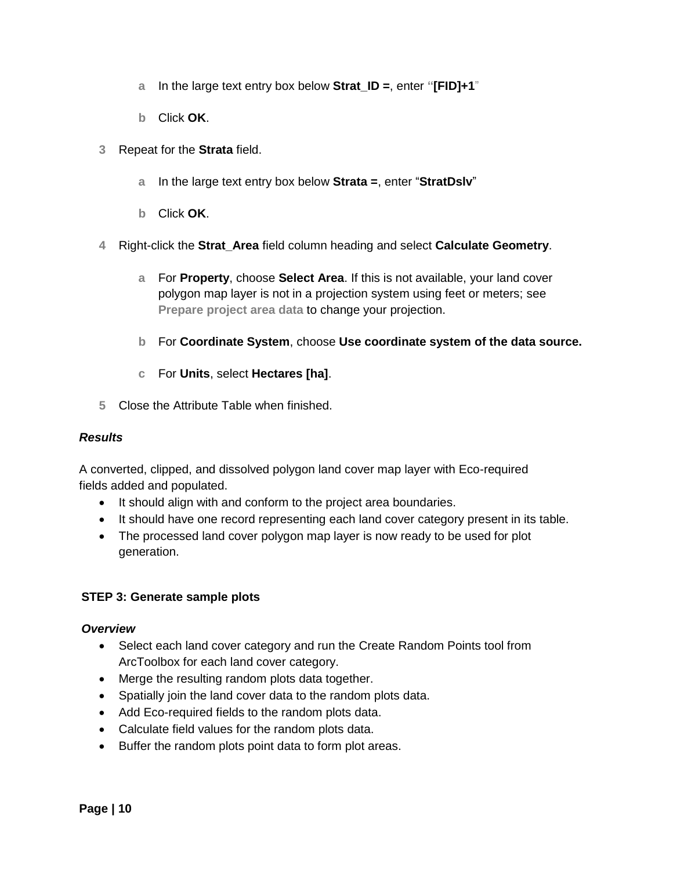- **a** In the large text entry box below **Strat\_ID =**, enter **"[FID]+1**"
- **b** Click **OK**.
- **3** Repeat for the **Strata** field.
	- **a** In the large text entry box below **Strata =**, enter "**StratDslv**"
	- **b** Click **OK**.
- **4** Right-click the **Strat\_Area** field column heading and select **Calculate Geometry**.
	- **a** For **Property**, choose **Select Area**. If this is not available, your land cover polygon map layer is not in a projection system using feet or meters; see **[Prepare project area data](#page-2-0)** to change your projection.
	- **b** For **Coordinate System**, choose **Use coordinate system of the data source.**
	- **c** For **Units**, select **Hectares [ha]**.
- **5** Close the Attribute Table when finished.

#### *Results*

A converted, clipped, and dissolved polygon land cover map layer with Eco-required fields added and populated.

- It should align with and conform to the project area boundaries.
- It should have one record representing each land cover category present in its table.
- The processed land cover polygon map layer is now ready to be used for plot generation.

#### **STEP 3: Generate sample plots**

#### *Overview*

- Select each land cover category and run the Create Random Points tool from ArcToolbox for each land cover category.
- Merge the resulting random plots data together.
- Spatially join the land cover data to the random plots data.
- Add Eco-required fields to the random plots data.
- Calculate field values for the random plots data.
- Buffer the random plots point data to form plot areas.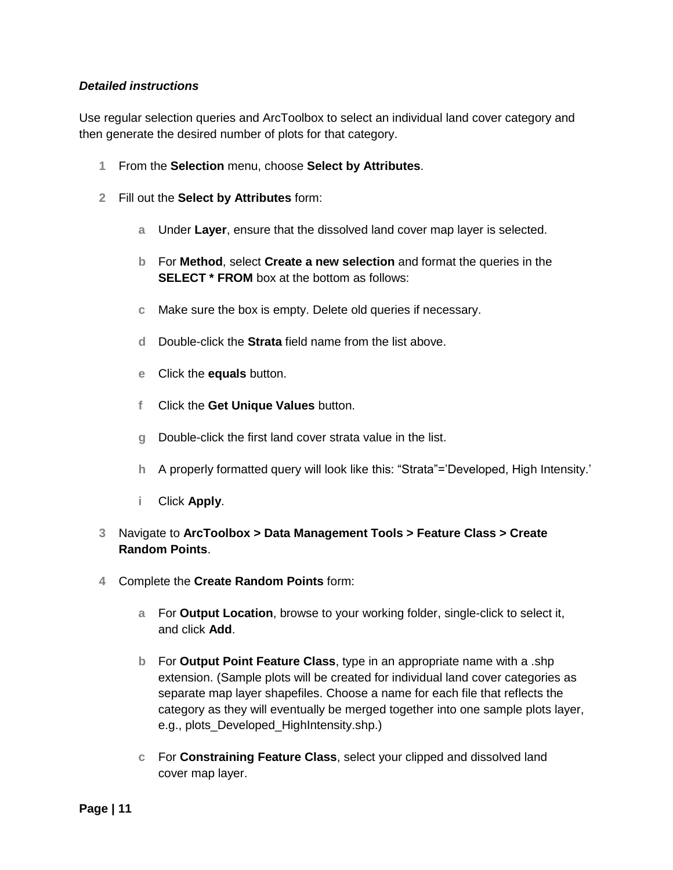#### *Detailed instructions*

Use regular selection queries and ArcToolbox to select an individual land cover category and then generate the desired number of plots for that category.

- **1** From the **Selection** menu, choose **Select by Attributes**.
- **2** Fill out the **Select by Attributes** form:
	- **a** Under **Layer**, ensure that the dissolved land cover map layer is selected.
	- **b** For **Method**, select **Create a new selection** and format the queries in the **SELECT** \* **FROM** box at the bottom as follows:
	- **c** Make sure the box is empty. Delete old queries if necessary.
	- **d** Double-click the **Strata** field name from the list above.
	- **e** Click the **equals** button.
	- **f** Click the **Get Unique Values** button.
	- **g** Double-click the first land cover strata value in the list.
	- **h** A properly formatted query will look like this: "Strata"='Developed, High Intensity.'
	- **i** Click **Apply**.

#### **3** Navigate to **ArcToolbox > Data Management Tools > Feature Class > Create Random Points**.

- **4** Complete the **Create Random Points** form:
	- **a** For **Output Location**, browse to your working folder, single-click to select it, and click **Add**.
	- **b** For **Output Point Feature Class**, type in an appropriate name with a .shp extension. (Sample plots will be created for individual land cover categories as separate map layer shapefiles. Choose a name for each file that reflects the category as they will eventually be merged together into one sample plots layer, e.g., plots\_Developed\_HighIntensity.shp.)
	- **c** For **Constraining Feature Class**, select your clipped and dissolved land cover map layer.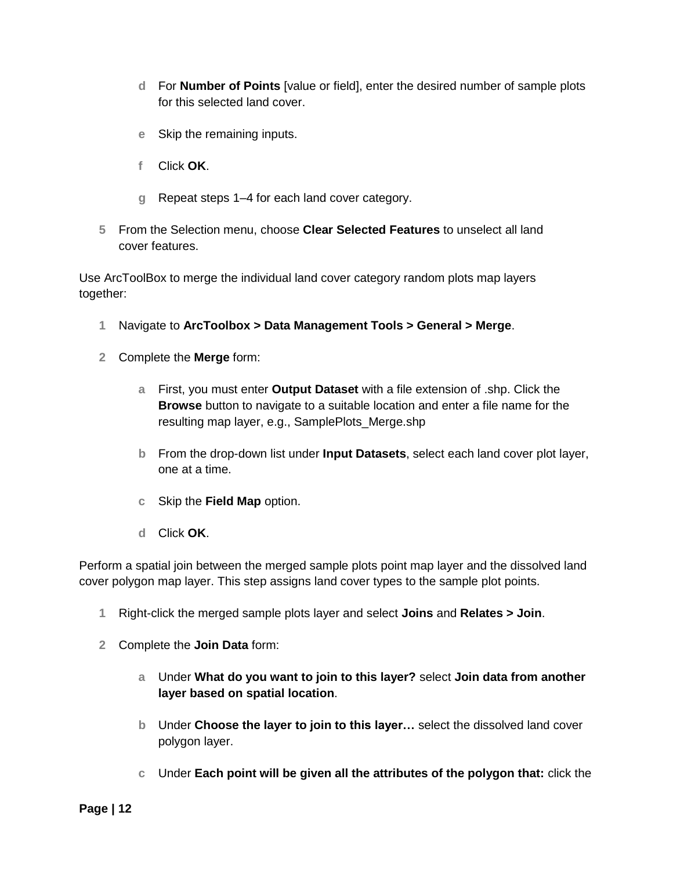- **d** For **Number of Points** [value or field], enter the desired number of sample plots for this selected land cover.
- **e** Skip the remaining inputs.
- **f** Click **OK**.
- **g** Repeat steps 1–4 for each land cover category.
- **5** From the Selection menu, choose **Clear Selected Features** to unselect all land cover features.

Use ArcToolBox to merge the individual land cover category random plots map layers together:

- **1** Navigate to **ArcToolbox > Data Management Tools > General > Merge**.
- **2** Complete the **Merge** form:
	- **a** First, you must enter **Output Dataset** with a file extension of .shp. Click the **Browse** button to navigate to a suitable location and enter a file name for the resulting map layer, e.g., SamplePlots\_Merge.shp
	- **b** From the drop-down list under **Input Datasets**, select each land cover plot layer, one at a time.
	- **c** Skip the **Field Map** option.
	- **d** Click **OK**.

Perform a spatial join between the merged sample plots point map layer and the dissolved land cover polygon map layer. This step assigns land cover types to the sample plot points.

- **1** Right-click the merged sample plots layer and select **Joins** and **Relates > Join**.
- **2** Complete the **Join Data** form:
	- **a** Under **What do you want to join to this layer?** select **Join data from another layer based on spatial location**.
	- **b** Under **Choose the layer to join to this layer…** select the dissolved land cover polygon layer.
	- **c** Under **Each point will be given all the attributes of the polygon that:** click the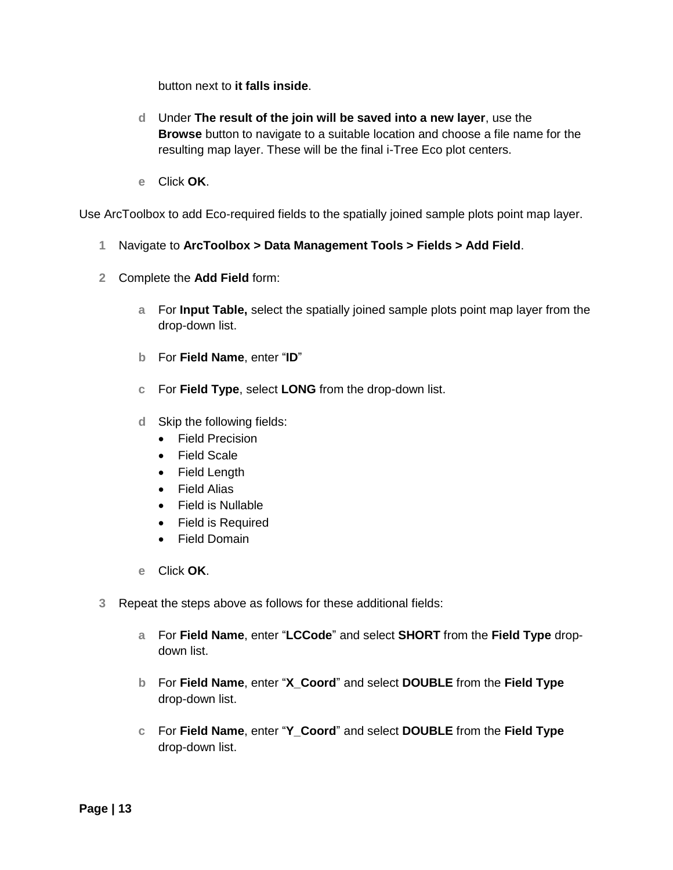button next to **it falls inside**.

- **d** Under **The result of the join will be saved into a new layer**, use the **Browse** button to navigate to a suitable location and choose a file name for the resulting map layer. These will be the final i-Tree Eco plot centers.
- **e** Click **OK**.

Use ArcToolbox to add Eco-required fields to the spatially joined sample plots point map layer.

- **1** Navigate to **ArcToolbox > Data Management Tools > Fields > Add Field**.
- **2** Complete the **Add Field** form:
	- **a** For **Input Table,** select the spatially joined sample plots point map layer from the drop-down list.
	- **b** For **Field Name**, enter "**ID**"
	- **c** For **Field Type**, select **LONG** from the drop-down list.
	- **d** Skip the following fields:
		- **•** Field Precision
		- Field Scale
		- Field Length
		- Field Alias
		- Field is Nullable
		- Field is Required
		- Field Domain
	- **e** Click **OK**.
- **3** Repeat the steps above as follows for these additional fields:
	- **a** For **Field Name**, enter "**LCCode**" and select **SHORT** from the **Field Type** dropdown list.
	- **b** For **Field Name**, enter "**X\_Coord**" and select **DOUBLE** from the **Field Type**  drop-down list.
	- **c** For **Field Name**, enter "**Y\_Coord**" and select **DOUBLE** from the **Field Type**  drop-down list.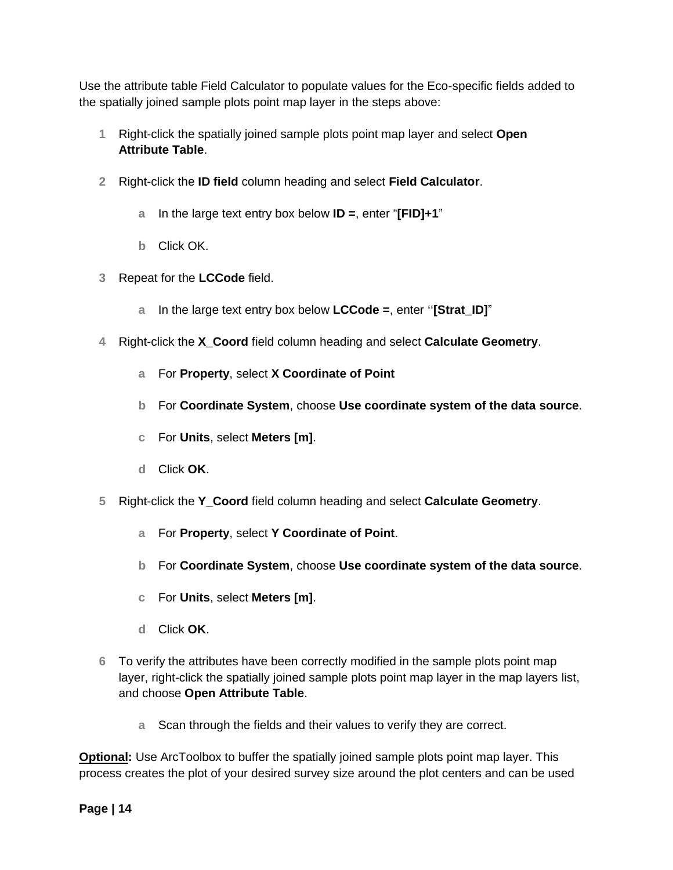Use the attribute table Field Calculator to populate values for the Eco-specific fields added to the spatially joined sample plots point map layer in the steps above:

- **1** Right-click the spatially joined sample plots point map layer and select **Open Attribute Table**.
- **2** Right-click the **ID field** column heading and select **Field Calculator**.
	- **a** In the large text entry box below **ID =**, enter "**[FID]+1**"
	- **b** Click OK.
- **3** Repeat for the **LCCode** field.
	- **a** In the large text entry box below **LCCode =**, enter **"[Strat\_ID]**"
- **4** Right-click the **X\_Coord** field column heading and select **Calculate Geometry**.
	- **a** For **Property**, select **X Coordinate of Point**
	- **b** For **Coordinate System**, choose **Use coordinate system of the data source**.
	- **c** For **Units**, select **Meters [m]**.
	- **d** Click **OK**.
- **5** Right-click the **Y\_Coord** field column heading and select **Calculate Geometry**.
	- **a** For **Property**, select **Y Coordinate of Point**.
	- **b** For **Coordinate System**, choose **Use coordinate system of the data source**.
	- **c** For **Units**, select **Meters [m]**.
	- **d** Click **OK**.
- **6** To verify the attributes have been correctly modified in the sample plots point map layer, right-click the spatially joined sample plots point map layer in the map layers list, and choose **Open Attribute Table**.
	- **a** Scan through the fields and their values to verify they are correct.

**Optional:** Use ArcToolbox to buffer the spatially joined sample plots point map layer. This process creates the plot of your desired survey size around the plot centers and can be used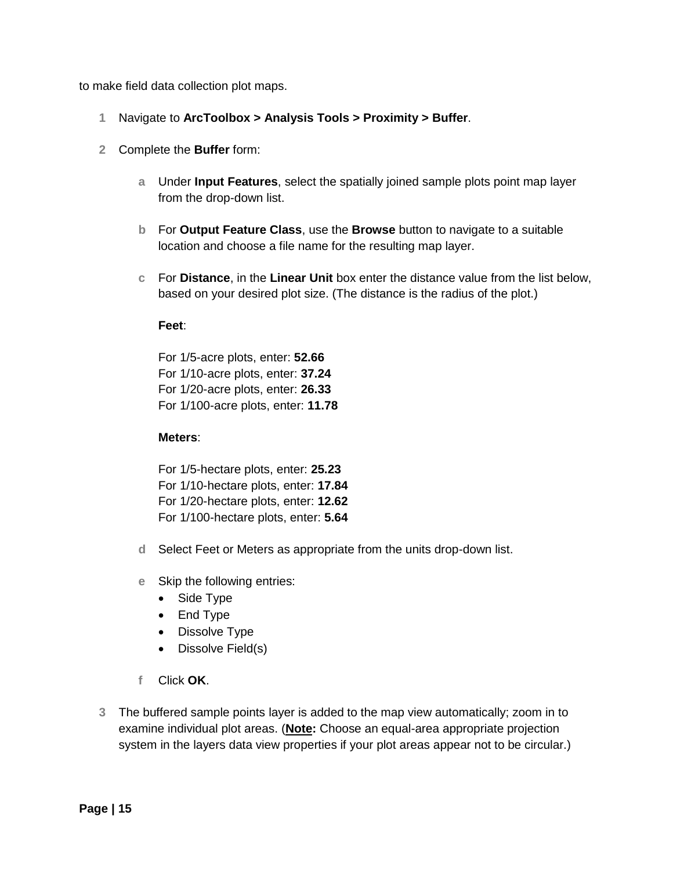to make field data collection plot maps.

- **1** Navigate to **ArcToolbox > Analysis Tools > Proximity > Buffer**.
- **2** Complete the **Buffer** form:
	- **a** Under **Input Features**, select the spatially joined sample plots point map layer from the drop-down list.
	- **b** For **Output Feature Class**, use the **Browse** button to navigate to a suitable location and choose a file name for the resulting map layer.
	- **c** For **Distance**, in the **Linear Unit** box enter the distance value from the list below, based on your desired plot size. (The distance is the radius of the plot.)

#### **Feet**:

For 1/5-acre plots, enter: **52.66** For 1/10-acre plots, enter: **37.24** For 1/20-acre plots, enter: **26.33** For 1/100-acre plots, enter: **11.78**

#### **Meters**:

For 1/5-hectare plots, enter: **25.23** For 1/10-hectare plots, enter: **17.84** For 1/20-hectare plots, enter: **12.62** For 1/100-hectare plots, enter: **5.64**

- **d** Select Feet or Meters as appropriate from the units drop-down list.
- **e** Skip the following entries:
	- Side Type
	- End Type
	- Dissolve Type
	- Dissolve Field(s)
- **f** Click **OK**.
- **3** The buffered sample points layer is added to the map view automatically; zoom in to examine individual plot areas. (**Note:** Choose an equal-area appropriate projection system in the layers data view properties if your plot areas appear not to be circular.)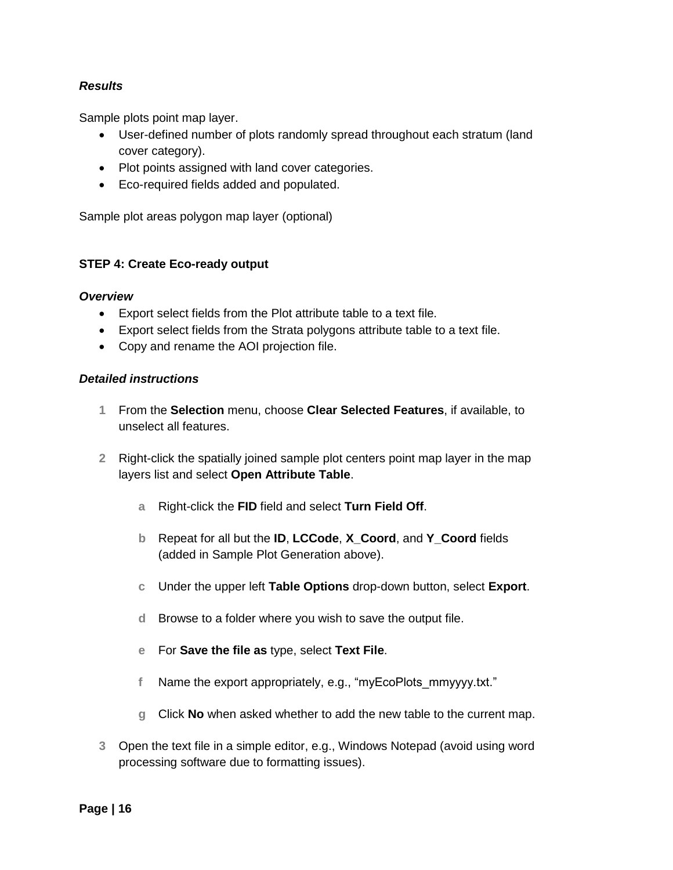#### *Results*

Sample plots point map layer.

- User-defined number of plots randomly spread throughout each stratum (land cover category).
- Plot points assigned with land cover categories.
- Eco-required fields added and populated.

Sample plot areas polygon map layer (optional)

#### **STEP 4: Create Eco-ready output**

#### *Overview*

- Export select fields from the Plot attribute table to a text file.
- Export select fields from the Strata polygons attribute table to a text file.
- Copy and rename the AOI projection file.

#### *Detailed instructions*

- **1** From the **Selection** menu, choose **Clear Selected Features**, if available, to unselect all features.
- **2** Right-click the spatially joined sample plot centers point map layer in the map layers list and select **Open Attribute Table**.
	- **a** Right-click the **FID** field and select **Turn Field Off**.
	- **b** Repeat for all but the **ID**, **LCCode**, **X\_Coord**, and **Y\_Coord** fields (added in Sample Plot Generation above).
	- **c** Under the upper left **Table Options** drop-down button, select **Export**.
	- **d** Browse to a folder where you wish to save the output file.
	- **e** For **Save the file as** type, select **Text File**.
	- **f** Name the export appropriately, e.g., "myEcoPlots\_mmyyyy.txt."
	- **g** Click **No** when asked whether to add the new table to the current map.
- **3** Open the text file in a simple editor, e.g., Windows Notepad (avoid using word processing software due to formatting issues).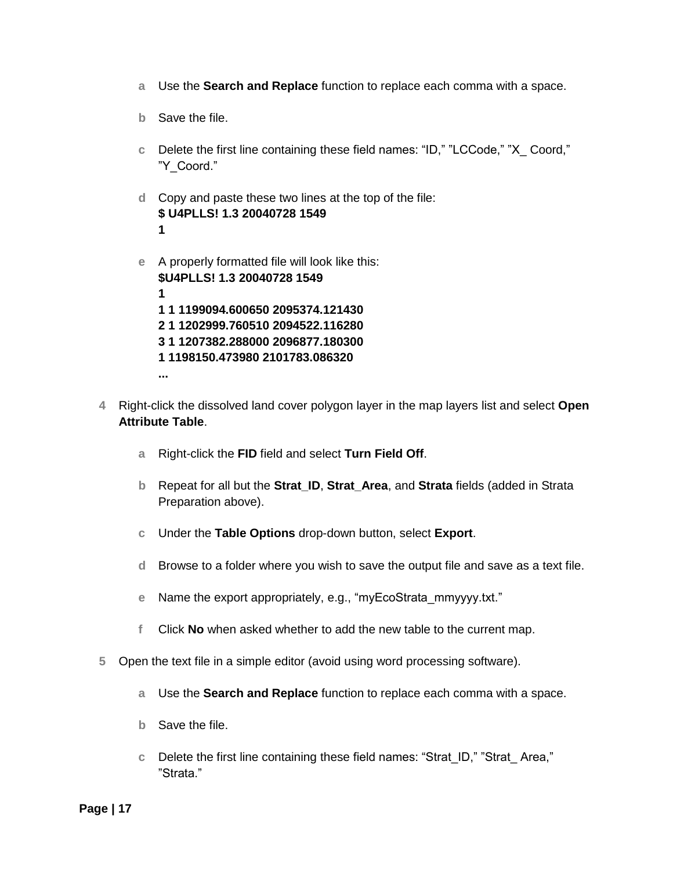- **a** Use the **Search and Replace** function to replace each comma with a space.
- **b** Save the file.
- **c** Delete the first line containing these field names: "ID," "LCCode," "X\_ Coord," "Y\_Coord."
- **d** Copy and paste these two lines at the top of the file: **\$ U4PLLS! 1.3 20040728 1549 1**
- **e** A properly formatted file will look like this: **\$U4PLLS! 1.3 20040728 1549 1 1 1 1199094.600650 2095374.121430 2 1 1202999.760510 2094522.116280 3 1 1207382.288000 2096877.180300 1 1198150.473980 2101783.086320 ...**
- **4** Right-click the dissolved land cover polygon layer in the map layers list and select **Open Attribute Table**.
	- **a** Right-click the **FID** field and select **Turn Field Off**.
	- **b** Repeat for all but the **Strat\_ID**, **Strat\_Area**, and **Strata** fields (added in Strata Preparation above).
	- **c** Under the **Table Options** drop-down button, select **Export**.
	- **d** Browse to a folder where you wish to save the output file and save as a text file.
	- **e** Name the export appropriately, e.g., "myEcoStrata\_mmyyyy.txt."
	- **f** Click **No** when asked whether to add the new table to the current map.
- **5** Open the text file in a simple editor (avoid using word processing software).
	- **a** Use the **Search and Replace** function to replace each comma with a space.
	- **b** Save the file.
	- **c** Delete the first line containing these field names: "Strat\_ID," "Strat\_ Area," "Strata."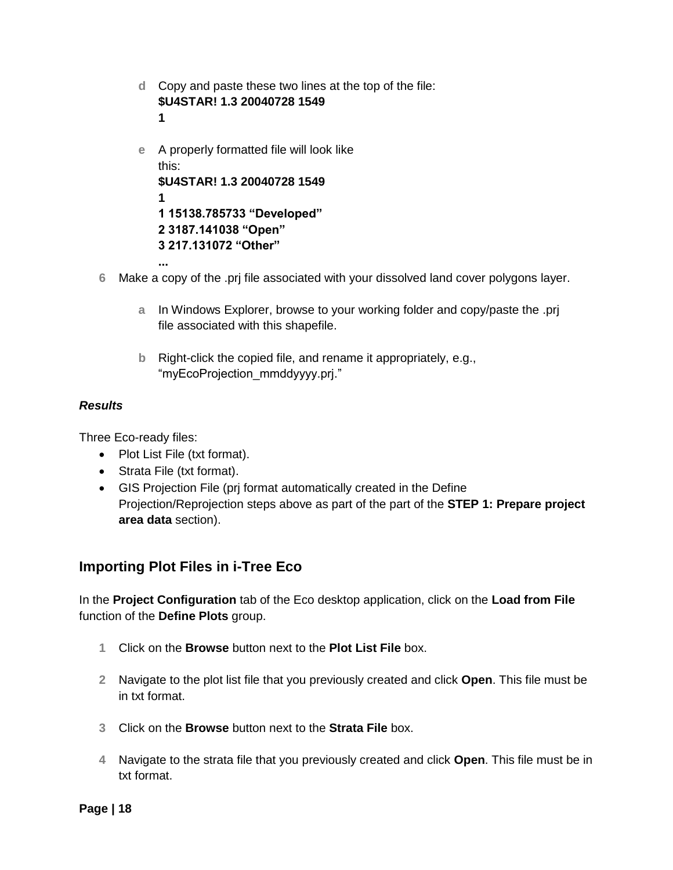- **d** Copy and paste these two lines at the top of the file: **\$U4STAR! 1.3 20040728 1549 1**
- **e** A properly formatted file will look like this: **\$U4STAR! 1.3 20040728 1549 1 1 15138.785733 "Developed" 2 3187.141038 "Open" 3 217.131072 "Other" ...**

**6** Make a copy of the .prj file associated with your dissolved land cover polygons layer.

- **a** In Windows Explorer, browse to your working folder and copy/paste the .prj file associated with this shapefile.
- **b** Right-click the copied file, and rename it appropriately, e.g., "myEcoProjection\_mmddyyyy.prj."

#### *Results*

Three Eco-ready files:

- Plot List File (txt format).
- Strata File (txt format).
- GIS Projection File (prj format automatically created in the Define Projection/Reprojection steps above as part of the part of the **STEP 1: Prepare project area data** section).

## **Importing Plot Files in i-Tree Eco**

In the **Project Configuration** tab of the Eco desktop application, click on the **Load from File** function of the **Define Plots** group.

- **1** Click on the **Browse** button next to the **Plot List File** box.
- **2** Navigate to the plot list file that you previously created and click **Open**. This file must be in txt format.
- **3** Click on the **Browse** button next to the **Strata File** box.
- **4** Navigate to the strata file that you previously created and click **Open**. This file must be in txt format.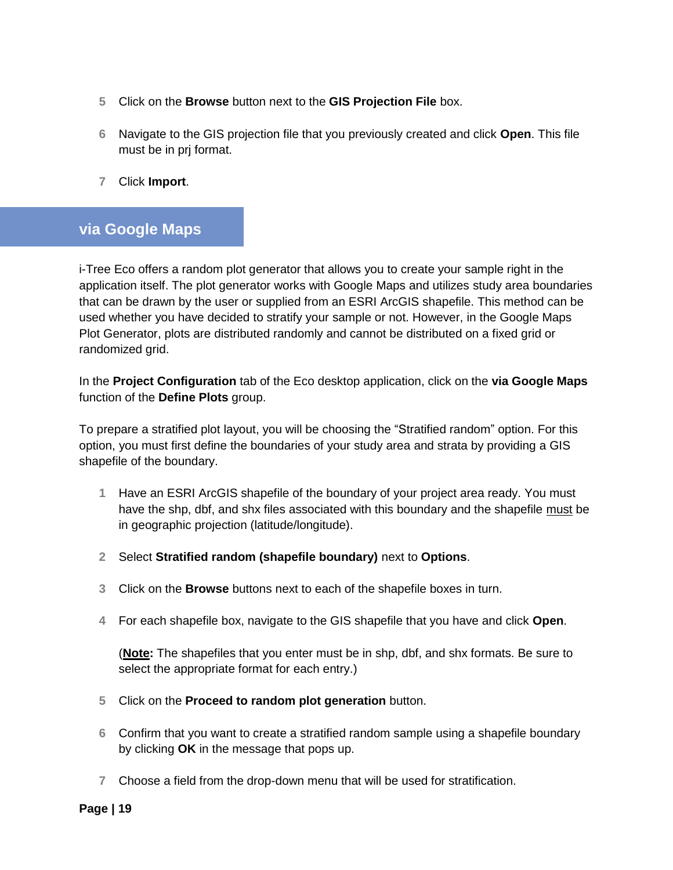- **5** Click on the **Browse** button next to the **GIS Projection File** box.
- **6** Navigate to the GIS projection file that you previously created and click **Open**. This file must be in prj format.
- **7** Click **Import**.

## <span id="page-18-0"></span>**via Google Maps**

i-Tree Eco offers a random plot generator that allows you to create your sample right in the application itself. The plot generator works with Google Maps and utilizes study area boundaries that can be drawn by the user or supplied from an ESRI ArcGIS shapefile. This method can be used whether you have decided to stratify your sample or not. However, in the Google Maps Plot Generator, plots are distributed randomly and cannot be distributed on a fixed grid or randomized grid.

In the **Project Configuration** tab of the Eco desktop application, click on the **via Google Maps**  function of the **Define Plots** group.

To prepare a stratified plot layout, you will be choosing the "Stratified random" option. For this option, you must first define the boundaries of your study area and strata by providing a GIS shapefile of the boundary.

- **1** Have an ESRI ArcGIS shapefile of the boundary of your project area ready. You must have the shp, dbf, and shx files associated with this boundary and the shapefile must be in geographic projection (latitude/longitude).
- **2** Select **Stratified random (shapefile boundary)** next to **Options**.
- **3** Click on the **Browse** buttons next to each of the shapefile boxes in turn.
- **4** For each shapefile box, navigate to the GIS shapefile that you have and click **Open**.

(**Note:** The shapefiles that you enter must be in shp, dbf, and shx formats. Be sure to select the appropriate format for each entry.)

- **5** Click on the **Proceed to random plot generation** button.
- **6** Confirm that you want to create a stratified random sample using a shapefile boundary by clicking **OK** in the message that pops up.
- **7** Choose a field from the drop-down menu that will be used for stratification.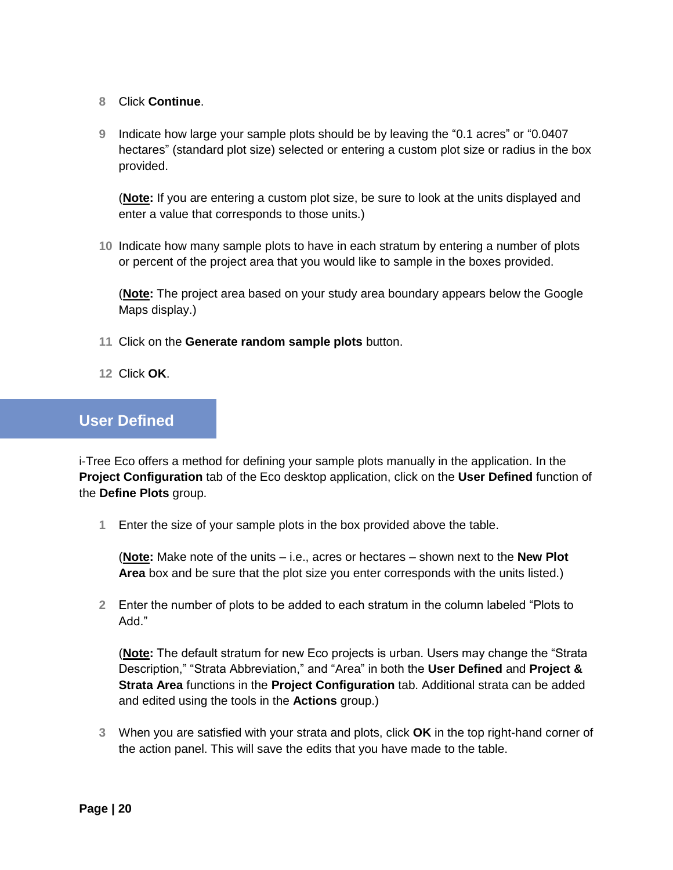- **8** Click **Continue**.
- **9** Indicate how large your sample plots should be by leaving the "0.1 acres" or "0.0407 hectares" (standard plot size) selected or entering a custom plot size or radius in the box provided.

(**Note:** If you are entering a custom plot size, be sure to look at the units displayed and enter a value that corresponds to those units.)

**10** Indicate how many sample plots to have in each stratum by entering a number of plots or percent of the project area that you would like to sample in the boxes provided.

(**Note:** The project area based on your study area boundary appears below the Google Maps display.)

- **11** Click on the **Generate random sample plots** button.
- **12** Click **OK**.

## <span id="page-19-0"></span>**User Defined**

i-Tree Eco offers a method for defining your sample plots manually in the application. In the **Project Configuration** tab of the Eco desktop application, click on the **User Defined** function of the **Define Plots** group.

**1** Enter the size of your sample plots in the box provided above the table.

(**Note:** Make note of the units – i.e., acres or hectares – shown next to the **New Plot Area** box and be sure that the plot size you enter corresponds with the units listed.)

**2** Enter the number of plots to be added to each stratum in the column labeled "Plots to Add."

(**Note:** The default stratum for new Eco projects is urban. Users may change the "Strata Description," "Strata Abbreviation," and "Area" in both the **User Defined** and **Project & Strata Area** functions in the **Project Configuration** tab. Additional strata can be added and edited using the tools in the **Actions** group.)

**3** When you are satisfied with your strata and plots, click **OK** in the top right-hand corner of the action panel. This will save the edits that you have made to the table.